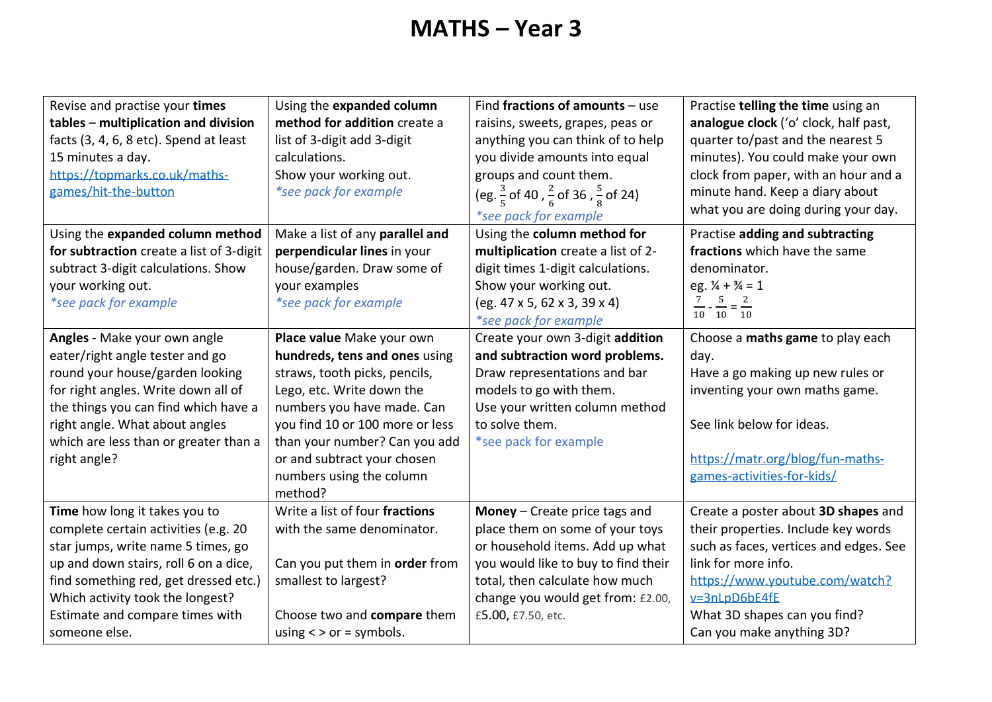# **MATHS – Year 3**

| Revise and practise your times           | Using the expanded column       | Find fractions of amounts $-$ use                                   | Practise telling the time using an           |
|------------------------------------------|---------------------------------|---------------------------------------------------------------------|----------------------------------------------|
| tables - multiplication and division     | method for addition create a    | raisins, sweets, grapes, peas or                                    | analogue clock ('o' clock, half past,        |
| facts (3, 4, 6, 8 etc). Spend at least   | list of 3-digit add 3-digit     | anything you can think of to help                                   | quarter to/past and the nearest 5            |
| 15 minutes a day.                        | calculations.                   | you divide amounts into equal                                       | minutes). You could make your own            |
| https://topmarks.co.uk/maths-            | Show your working out.          | groups and count them.                                              | clock from paper, with an hour and a         |
| games/hit-the-button                     | *see pack for example           | (eg. $\frac{3}{5}$ of 40, $\frac{2}{6}$ of 36, $\frac{5}{8}$ of 24) | minute hand. Keep a diary about              |
|                                          |                                 | *see pack for example                                               | what you are doing during your day.          |
| Using the expanded column method         | Make a list of any parallel and | Using the column method for                                         | Practise adding and subtracting              |
| for subtraction create a list of 3-digit | perpendicular lines in your     | multiplication create a list of 2-                                  | fractions which have the same                |
| subtract 3-digit calculations. Show      | house/garden. Draw some of      | digit times 1-digit calculations.                                   | denominator.                                 |
| your working out.                        | your examples                   | Show your working out.                                              | eg. $\frac{1}{4} + \frac{3}{4} = 1$          |
| *see pack for example                    | *see pack for example           | $(eg. 47 \times 5, 62 \times 3, 39 \times 4)$                       | $\frac{7}{10} - \frac{5}{10} = \frac{2}{10}$ |
|                                          |                                 | *see pack for example                                               |                                              |
| Angles - Make your own angle             | Place value Make your own       | Create your own 3-digit addition                                    | Choose a maths game to play each             |
| eater/right angle tester and go          | hundreds, tens and ones using   | and subtraction word problems.                                      | day.                                         |
| round your house/garden looking          | straws, tooth picks, pencils,   | Draw representations and bar                                        | Have a go making up new rules or             |
| for right angles. Write down all of      | Lego, etc. Write down the       | models to go with them.                                             | inventing your own maths game.               |
| the things you can find which have a     | numbers you have made. Can      | Use your written column method                                      |                                              |
| right angle. What about angles           | you find 10 or 100 more or less | to solve them.                                                      | See link below for ideas.                    |
| which are less than or greater than a    | than your number? Can you add   | *see pack for example                                               |                                              |
| right angle?                             | or and subtract your chosen     |                                                                     | https://matr.org/blog/fun-maths-             |
|                                          | numbers using the column        |                                                                     | games-activities-for-kids/                   |
|                                          | method?                         |                                                                     |                                              |
| Time how long it takes you to            | Write a list of four fractions  | <b>Money</b> $-$ Create price tags and                              | Create a poster about 3D shapes and          |
| complete certain activities (e.g. 20     | with the same denominator.      | place them on some of your toys                                     | their properties. Include key words          |
| star jumps, write name 5 times, go       |                                 | or household items. Add up what                                     | such as faces, vertices and edges. See       |
| up and down stairs, roll 6 on a dice,    | Can you put them in order from  | you would like to buy to find their                                 | link for more info.                          |
| find something red, get dressed etc.)    | smallest to largest?            | total, then calculate how much                                      | https://www.youtube.com/watch?               |
| Which activity took the longest?         |                                 | change you would get from: £2.00,                                   | v=3nLpD6bE4fE                                |
| Estimate and compare times with          | Choose two and compare them     | £5.00, £7.50, etc.                                                  | What 3D shapes can you find?                 |
| someone else.                            | using $\lt$ > or = symbols.     |                                                                     | Can you make anything 3D?                    |